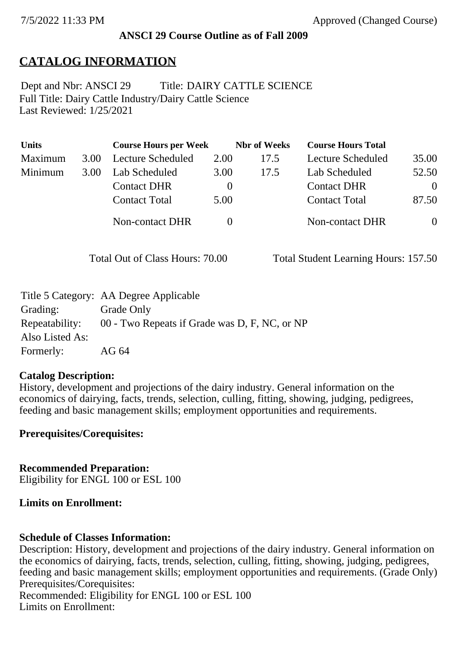## **ANSCI 29 Course Outline as of Fall 2009**

# **CATALOG INFORMATION**

Full Title: Dairy Cattle Industry/Dairy Cattle Science Last Reviewed: 1/25/2021 Dept and Nbr: ANSCI 29 Title: DAIRY CATTLE SCIENCE

| <b>Units</b> |      | <b>Course Hours per Week</b> |              | <b>Nbr</b> of Weeks | <b>Course Hours Total</b> |          |
|--------------|------|------------------------------|--------------|---------------------|---------------------------|----------|
| Maximum      | 3.00 | <b>Lecture Scheduled</b>     | 2.00         | 17.5                | Lecture Scheduled         | 35.00    |
| Minimum      | 3.00 | Lab Scheduled                | 3.00         | 17.5                | Lab Scheduled             | 52.50    |
|              |      | <b>Contact DHR</b>           | $\theta$     |                     | <b>Contact DHR</b>        | $\Omega$ |
|              |      | <b>Contact Total</b>         | 5.00         |                     | <b>Contact Total</b>      | 87.50    |
|              |      | Non-contact DHR              | $\mathbf{0}$ |                     | Non-contact DHR           | $\theta$ |

Total Out of Class Hours: 70.00 Total Student Learning Hours: 157.50

|                 | Title 5 Category: AA Degree Applicable        |
|-----------------|-----------------------------------------------|
| Grading:        | Grade Only                                    |
| Repeatability:  | 00 - Two Repeats if Grade was D, F, NC, or NP |
| Also Listed As: |                                               |
| Formerly:       | AG 64                                         |

### **Catalog Description:**

History, development and projections of the dairy industry. General information on the economics of dairying, facts, trends, selection, culling, fitting, showing, judging, pedigrees, feeding and basic management skills; employment opportunities and requirements.

**Prerequisites/Corequisites:**

**Recommended Preparation:** Eligibility for ENGL 100 or ESL 100

## **Limits on Enrollment:**

## **Schedule of Classes Information:**

Description: History, development and projections of the dairy industry. General information on the economics of dairying, facts, trends, selection, culling, fitting, showing, judging, pedigrees, feeding and basic management skills; employment opportunities and requirements. (Grade Only) Prerequisites/Corequisites: Recommended: Eligibility for ENGL 100 or ESL 100 Limits on Enrollment: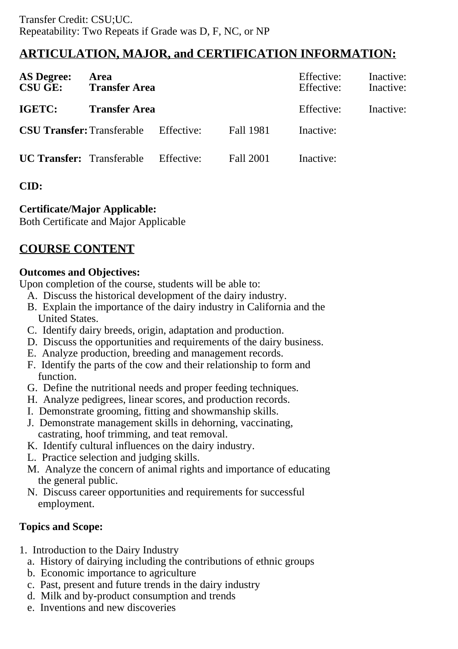# **ARTICULATION, MAJOR, and CERTIFICATION INFORMATION:**

| <b>AS Degree:</b><br><b>CSU GE:</b> | Area<br><b>Transfer Area</b> |            |                  | Effective:<br>Effective: | Inactive:<br>Inactive: |
|-------------------------------------|------------------------------|------------|------------------|--------------------------|------------------------|
| <b>IGETC:</b>                       | <b>Transfer Area</b>         |            |                  | Effective:               | Inactive:              |
| <b>CSU Transfer: Transferable</b>   |                              | Effective: | <b>Fall 1981</b> | Inactive:                |                        |
| <b>UC Transfer:</b> Transferable    |                              | Effective: | Fall 2001        | Inactive:                |                        |

# **CID:**

# **Certificate/Major Applicable:**

[Both Certificate and Major Applicable](SR_ClassCheck.aspx?CourseKey=ANSCI29)

# **COURSE CONTENT**

## **Outcomes and Objectives:**

Upon completion of the course, students will be able to:

- A. Discuss the historical development of the dairy industry.
- B. Explain the importance of the dairy industry in California and the United States.
- C. Identify dairy breeds, origin, adaptation and production.
- D. Discuss the opportunities and requirements of the dairy business.
- E. Analyze production, breeding and management records.
- F. Identify the parts of the cow and their relationship to form and function.
- G. Define the nutritional needs and proper feeding techniques.
- H. Analyze pedigrees, linear scores, and production records.
- I. Demonstrate grooming, fitting and showmanship skills.
- J. Demonstrate management skills in dehorning, vaccinating, castrating, hoof trimming, and teat removal.
- K. Identify cultural influences on the dairy industry.
- L. Practice selection and judging skills.
- M. Analyze the concern of animal rights and importance of educating the general public.
- N. Discuss career opportunities and requirements for successful employment.

# **Topics and Scope:**

- 1. Introduction to the Dairy Industry
	- a. History of dairying including the contributions of ethnic groups
	- b. Economic importance to agriculture
	- c. Past, present and future trends in the dairy industry
	- d. Milk and by-product consumption and trends
	- e. Inventions and new discoveries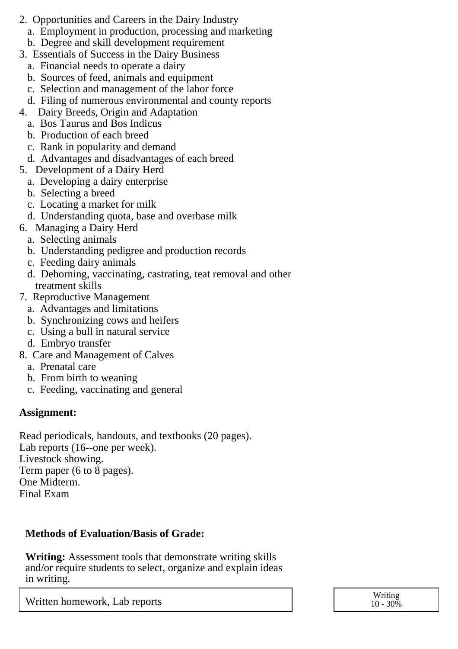- 2. Opportunities and Careers in the Dairy Industry
	- a. Employment in production, processing and marketing
	- b. Degree and skill development requirement
- 3. Essentials of Success in the Dairy Business
	- a. Financial needs to operate a dairy
	- b. Sources of feed, animals and equipment
	- c. Selection and management of the labor force
	- d. Filing of numerous environmental and county reports
- 4. Dairy Breeds, Origin and Adaptation
	- a. Bos Taurus and Bos Indicus
	- b. Production of each breed
	- c. Rank in popularity and demand
	- d. Advantages and disadvantages of each breed
- 5. Development of a Dairy Herd
	- a. Developing a dairy enterprise
	- b. Selecting a breed
	- c. Locating a market for milk
	- d. Understanding quota, base and overbase milk
- 6. Managing a Dairy Herd
- a. Selecting animals
- b. Understanding pedigree and production records
- c. Feeding dairy animals
- d. Dehorning, vaccinating, castrating, teat removal and other treatment skills
- 7. Reproductive Management
	- a. Advantages and limitations
	- b. Synchronizing cows and heifers
	- c. Using a bull in natural service
	- d. Embryo transfer
- 8. Care and Management of Calves
	- a. Prenatal care
	- b. From birth to weaning
	- c. Feeding, vaccinating and general

## **Assignment:**

Read periodicals, handouts, and textbooks (20 pages). Lab reports (16--one per week). Livestock showing. Term paper (6 to 8 pages). One Midterm. Final Exam

## **Methods of Evaluation/Basis of Grade:**

**Writing:** Assessment tools that demonstrate writing skills and/or require students to select, organize and explain ideas in writing.

Written homework, Lab reports and the set of the set of the set of the set of the set of the set of the set of the set of the set of the set of the set of the set of the set of the set of the set of the set of the set of t